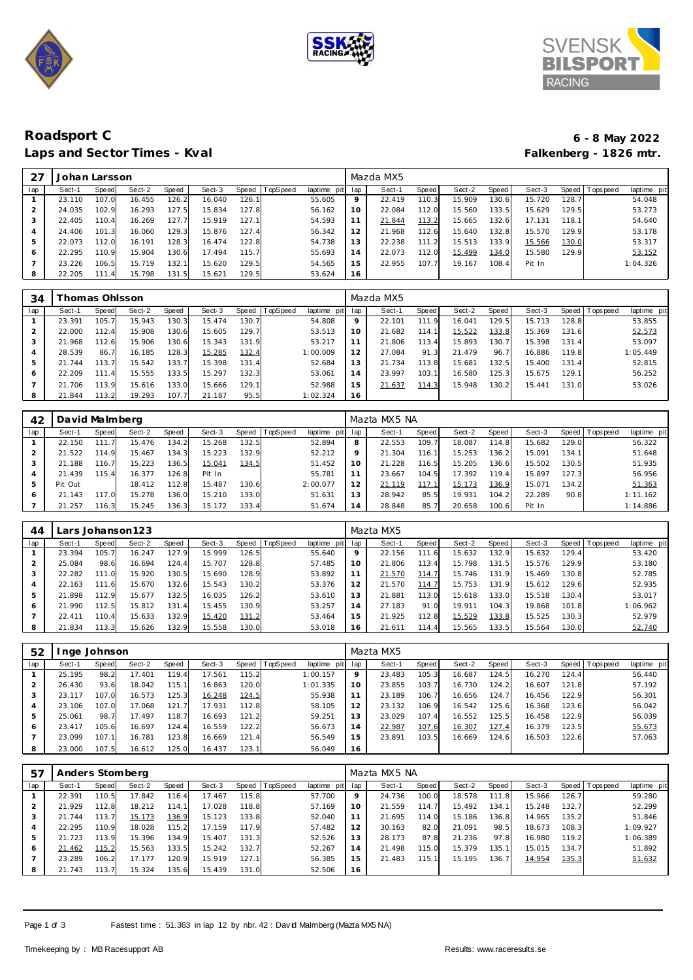





# **Roadsport C 6 - 8 May 2022** Laps and Sector Times - Kval **Falkenberg - 1826 mtr. Falkenberg - 1826 mtr.**

| 27  | Johan Larsson |       |        |       |        |       |                |             |         | Mazda MX5 |       |        |       |        |       |                |             |
|-----|---------------|-------|--------|-------|--------|-------|----------------|-------------|---------|-----------|-------|--------|-------|--------|-------|----------------|-------------|
| lap | Sect-1        | Speed | Sect-2 | Speed | Sect-3 |       | Speed TopSpeed | laptime pit | lap     | Sect-1    | Speed | Sect-2 | Speed | Sect-3 |       | Speed Topspeed | laptime pit |
|     | 23.110        | 107.0 | 16.455 | 126.2 | 16.040 | 126.1 |                | 55.605      | $\circ$ | 22.419    | 110.3 | 15.909 | 130.6 | 15.720 | 128.7 |                | 54.048      |
|     | 24.035        | 102.9 | 16.293 | 127.5 | 15.834 | 127.8 |                | 56.162      | 10      | 22.084    | 112.0 | 15.560 | 133.5 | 15.629 | 129.5 |                | 53.273      |
| 3   | 22.405        | 110.4 | 16.269 | 127.7 | 15.919 | 127.1 |                | 54.593      | 11      | 21.844    | 113.2 | 15.665 | 132.6 | 17.131 | 118.1 |                | 54.640      |
| 4   | 24.406        | 101.3 | 16.060 | 129.3 | 15.876 | 127.4 |                | 56.342      | 12      | 21.968    | 112.6 | 15.640 | 132.8 | 15.570 | 129.9 |                | 53.178      |
| 5   | 22.073        | 112.0 | 16.191 | 128.3 | 16.474 | 122.8 |                | 54.738      | 13      | 22.238    | 111.2 | 15.513 | 133.9 | 15.566 | 130.0 |                | 53.317      |
| 6   | 22.295        | 110.9 | 15.904 | 130.6 | 17.494 | 115.7 |                | 55.693      | 14      | 22.073    | 112.0 | 15.499 | 134.0 | 15.580 | 129.9 |                | 53.152      |
|     | 23.226        | 106.5 | 15.719 | 132.1 | 15.620 | 129.5 |                | 54.565      | 15      | 22.955    | 107.7 | 19.167 | 108.4 | Pit In |       |                | 1:04.326    |
| 8   | 22.205        | 111.4 | 15.798 | 131.5 | 15.621 | 129.5 |                | 53.624      | 16      |           |       |        |       |        |       |                |             |

| 34  |            | Thomas Ohlsson        |        |       |        |                    |          |                 |         | Mazda MX5 |       |        |       |        |       |                 |             |
|-----|------------|-----------------------|--------|-------|--------|--------------------|----------|-----------------|---------|-----------|-------|--------|-------|--------|-------|-----------------|-------------|
| lap | Sect-1     | Speed                 | Sect-2 | Speed | Sect-3 | Speed              | TopSpeed | laptime pit lap |         | Sect-1    | Speed | Sect-2 | Speed | Sect-3 |       | Speed Tops peed | laptime pit |
|     | 23.391     | 105.7 <sub>1</sub>    | 15.943 | 130.3 | 15.474 | 130.7 <sub>1</sub> |          | 54.808          | $\circ$ | 22.101    | 111.9 | 16.041 | 129.5 | 15.713 | 128.8 |                 | 53.855      |
|     | 22.000     | 112.4                 | 15.908 | 130.6 | 15.605 | 129.7              |          | 53.513          | 10      | 21.682    | 114.1 | 15.522 | 133.8 | 15.369 | 131.6 |                 | 52.573      |
|     | 21.968     | 112.6                 | 15.906 | 130.6 | 15.343 | 131.9              |          | 53.217          | 11      | 21.806    | 113.4 | 15.893 | 130.7 | 15.398 | 131.4 |                 | 53.097      |
|     | 28.539     | 86.7                  | 16.185 | 128.3 | 15.285 | 132.4              |          | 1:00.009        | 12      | 27.084    | 91.3  | 21.479 | 96.7  | 16.886 | 119.8 |                 | 1:05.449    |
| 5   | .744<br>21 | 113.7                 | 15.542 | 133.7 | 15.398 | 131.4              |          | 52.684          | 13      | 21.734    | 113.8 | 15.681 | 132.5 | 15.400 | 131.4 |                 | 52.815      |
| 6   | 22.209     | 111<br>$\overline{A}$ | 15.555 | 133.5 | 15.297 | 132.3              |          | 53.061          | 14      | 23.997    | 103.1 | 16.580 | 125.3 | 15.675 | 129.1 |                 | 56.252      |
|     | .706<br>21 | 113.9                 | 15.616 | 133.0 | 15.666 | 129.1              |          | 52.988          | 15      | 21.637    | 114.3 | 15.948 | 130.2 | 15.441 | 131.0 |                 | 53.026      |
| 8   | 21.844     | 113.2                 | 19.293 | 107.7 | 21.187 | 95.5               |          | 1:02.324        | 16      |           |       |        |       |        |       |                 |             |

| 42  | David Malmberg |                 |        |       |        |       |                |             |     | Mazta MX5 NA |              |        |                    |        |       |           |             |
|-----|----------------|-----------------|--------|-------|--------|-------|----------------|-------------|-----|--------------|--------------|--------|--------------------|--------|-------|-----------|-------------|
| lap | Sect-1         | Speed           | Sect-2 | Speed | Sect-3 |       | Speed TopSpeed | laptime pit | lap | Sect-1       | <b>Speed</b> | Sect-2 | Speed I            | Sect-3 | Speed | Tops peed | laptime pit |
|     | 22.150         |                 | 15.476 | 134.2 | 15.268 | 132.5 |                | 52.894      | 8   | 22.553       | 109.7        | 18.087 | 114.8              | 15.682 | 129.0 |           | 56.322      |
|     | 21.522         | 114.9           | 15.467 | 134.3 | 15.223 | 132.9 |                | 52.212      | Q   | 21.304       | 116.1        | 15.253 | 136.2              | 15.091 | 134.1 |           | 51.648      |
| 3   | 21.188         | 116.7           | 15.223 | 136.5 | 15.041 | 134.5 |                | 51.452      | 10  | 21.228       | 116.5        | 15.205 | 136.6              | 15.502 | 130.5 |           | 51.935      |
|     | 21.439         | 115.4           | 16.377 | 126.8 | Pit In |       |                | 55.781      |     | 23.667       | 104.5        | 17.392 | 119.4 <sub>1</sub> | 15.897 | 127.3 |           | 56.956      |
| 5   | Pit Out        |                 | 18.412 | 112.8 | 15.487 | 130.6 |                | 2:00.077    | 12  | 21.119       | 117.1        | 15.173 | 136.9              | 15.071 | 134.2 |           | 51.363      |
| 6   | 21.143         | 17 <sub>0</sub> | 15.278 | 136.0 | 15.210 | 133.0 |                | 51.631      | 13  | 28.942       | 85.5         | 19.931 | 104.2              | 22.289 | 90.8  |           | 1:11.162    |
|     | 21.257         | 116.3           | 15.245 | 136.3 | 15.172 | 133.4 |                | 51.674      | 14  | 28.848       | 85.7         | 20.658 | 100.6              | Pit In |       |           | 1:14.886    |

| 44  |        |       | ars Johanson 123. |       |        |       |                 |                |         | Mazta MX5 |       |        |       |        |        |                 |             |
|-----|--------|-------|-------------------|-------|--------|-------|-----------------|----------------|---------|-----------|-------|--------|-------|--------|--------|-----------------|-------------|
| lap | Sect-1 | Speed | Sect-2            | Speed | Sect-3 | Speed | <b>TopSpeed</b> | laptime<br>pit | lap     | Sect-1    | Speed | Sect-2 | Speed | Sect-3 |        | Speed Tops peed | laptime pit |
|     | 23.394 | 105.7 | 16.247            | 127.9 | 15.999 | 126.5 |                 | 55.640         | $\circ$ | 22.156    | 111.6 | 15.632 | 132.9 | 15.632 | 129.4  |                 | 53.420      |
| 2   | 25.084 | 98.6  | 16.694            | 124.4 | 15.707 | 128.8 |                 | 57.485         | 10      | 21.806    | 113.4 | 15.798 | 131.5 | 15.576 | 129.9  |                 | 53.180      |
| 3   | 22.282 | 111.0 | 15.920            | 130.5 | 15.690 | 128.9 |                 | 53.892         |         | 21.570    | 114.7 | 15.746 | 131.9 | 15.469 | 130.8  |                 | 52.785      |
| 4   | 22.163 | 111.6 | 15.670            | 132.6 | 15.543 | 130.2 |                 | 53.376         | 12      | 21.570    | 114.7 | 15.753 | 131.9 | 15.612 | 129.61 |                 | 52.935      |
| 5   | 21.898 | 112.9 | 15.677            | 132.5 | 16.035 | 126.2 |                 | 53.610         | З       | 21.881    | 113.0 | 15.618 | 133.0 | 15.518 | 130.4  |                 | 53.017      |
| 6   | 21.990 | 112.5 | 15.812            | 131.4 | 15.455 | 130.9 |                 | 53.257         | 14      | 27.183    | 91.0  | 19.911 | 104.3 | 19.868 | 101.8  |                 | 1:06.962    |
|     | 22.411 | 110.4 | 15.633            | 132.9 | 15.420 | 131.2 |                 | 53.464         | 15      | 21.925    | 112.8 | 15.529 | 133.8 | 15.525 | 130.3  |                 | 52.979      |
| 8   | 21.834 | 113.3 | 15.626            | 132.9 | 15.558 | 130.0 |                 | 53.018         | 16      | 21.61'    | 114.4 | 15.565 | 133.5 | 15.564 | 130.0  |                 | 52.740      |

| 52  |        | nge Johnson |        |       |        |       |          |                |         | Mazta MX5 |       |        |              |        |       |                 |             |
|-----|--------|-------------|--------|-------|--------|-------|----------|----------------|---------|-----------|-------|--------|--------------|--------|-------|-----------------|-------------|
| lap | Sect-1 | Speed       | Sect-2 | Speed | Sect-3 | Speed | TopSpeed | laptime<br>pit | lap     | Sect-1    | Speed | Sect-2 | <b>Speed</b> | Sect-3 |       | Speed Tops peed | laptime pit |
|     | 25.195 | 98.2        | 17.401 | 119.4 | 17.561 | 115.2 |          | 1:00.157       | $\circ$ | 23.483    | 105.3 | 16.687 | 124.5        | 16.270 | 124.4 |                 | 56.440      |
|     | 26.430 | 93.6        | 18.042 | 115.1 | 16.863 | 120.0 |          | 1:01.335       | 10      | 23.855    | 103.7 | 16.730 | 124.2        | 16.607 | 121.8 |                 | 57.192      |
|     | 23.117 | 107.0       | 16.573 | 125.3 | 16.248 | 124.5 |          | 55.938         |         | 23.189    | 106.7 | 16.656 | 124.7        | 16.456 | 122.9 |                 | 56.301      |
| 4   | 23.106 | 107.0       | 17.068 | 121.7 | 17.931 | 112.8 |          | 58.105         | 12      | 23.132    | 106.9 | 16.542 | 125.6        | 16.368 | 123.6 |                 | 56.042      |
| 5   | 25.061 | 98.7        | 17.497 | 118.7 | 16.693 | 121.2 |          | 59.251         | 13      | 23.029    | 107.4 | 16.552 | 125.5        | 16.458 | 122.9 |                 | 56.039      |
| 6   | 23.417 | 105.6       | 16.697 | 124.4 | 16.559 | 122.2 |          | 56.673         | 14      | 22.987    | 107.6 | 16.307 | 127.4        | 16.379 | 123.5 |                 | 55.673      |
|     | 23.099 | 107.1       | 16.781 | 123.8 | 16.669 | 121.4 |          | 56.549         | 15      | 23.891    | 103.5 | 16.669 | 124.6        | 16.503 | 122.6 |                 | 57.063      |
| 8   | 23.000 | 107.5       | 16.612 | 125.0 | 16.437 | 123.1 |          | 56.049         | 16      |           |       |        |              |        |       |                 |             |

| 57  | Anders Stomberg |       |        |       |        |       |                |             |     | Mazta MX5 NA |       |        |       |        |       |                  |             |
|-----|-----------------|-------|--------|-------|--------|-------|----------------|-------------|-----|--------------|-------|--------|-------|--------|-------|------------------|-------------|
| lap | Sect-1          | Speed | Sect-2 | Speed | Sect-3 |       | Speed TopSpeed | laptime pit | lap | Sect-1       | Speed | Sect-2 | Speed | Sect-3 | Speed | <b>Tops peed</b> | laptime pit |
|     | 22.391          | 110.5 | 17.842 | 116.4 | 17.467 | 115.8 |                | 57.700      | 9   | 24.736       | 100.0 | 18.578 | 111.8 | 15.966 | 126.7 |                  | 59.280      |
| 2   | 21.929          | 112.8 | 18.212 | 114.1 | 17.028 | 118.8 |                | 57.169      | 10  | 21.559       | 114.7 | 15.492 | 134.1 | 15.248 | 132.7 |                  | 52.299      |
| 3   | 21.744          | 113.7 | 15.173 | 136.9 | 15.123 | 133.8 |                | 52.040      | 11  | 21.695       | 114.0 | 15.186 | 136.8 | 14.965 | 135.2 |                  | 51.846      |
| 4   | 22.295          | 110.9 | 18.028 | 115.2 | 17.159 | 117.9 |                | 57.482      | 12  | 30.163       | 82.0  | 21.091 | 98.5  | 18.673 | 108.3 |                  | 1:09.927    |
| 5   | 21.723          | 113.9 | 15.396 | 134.9 | 15.407 | 131.3 |                | 52.526      | 13  | 28.173       | 87.8  | 21.236 | 97.8  | 16.980 | 119.2 |                  | 1:06.389    |
| 6   | 21.462          | 15.2  | 15.563 | 133.5 | 15.242 | 132.7 |                | 52.267      | 14  | 21.498       | 115.0 | 15.379 | 135   | 15.015 | 134.7 |                  | 51.892      |
|     | 23.289          | 106.2 | 17.177 | 120.9 | 15.919 | 127.1 |                | 56.385      | 15  | 21.483       | 115.1 | 15.195 | 136.7 | 14.954 | 135.3 |                  | 51.632      |
| 8   | 21.743          | 113.7 | 15.324 | 135.6 | 15.439 | 131.0 |                | 52.506      | 16  |              |       |        |       |        |       |                  |             |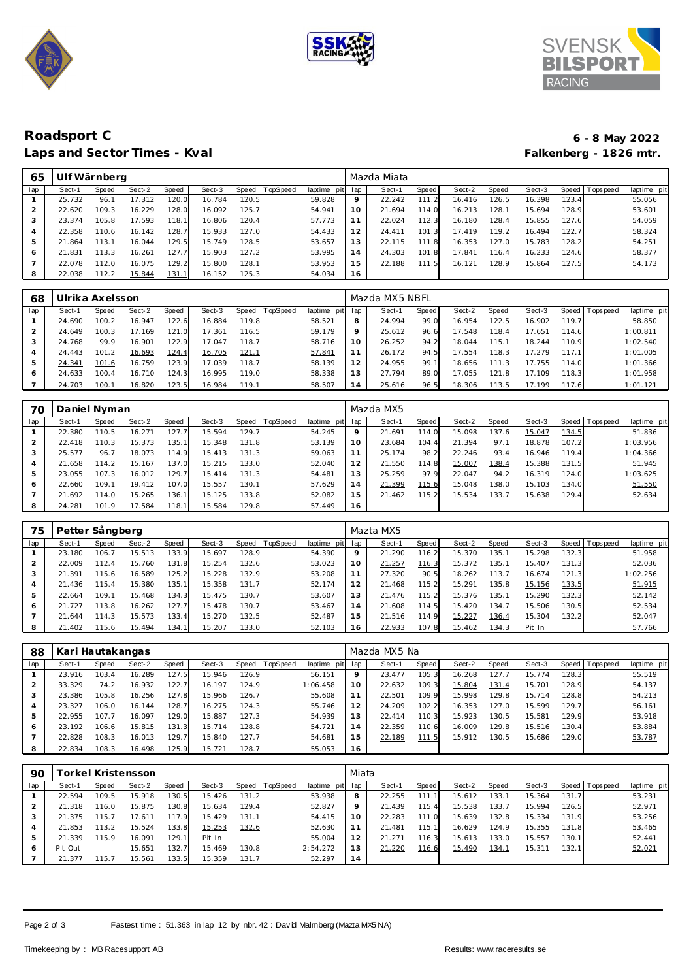





# **Roadsport C 6 - 8 May 2022** Laps and Sector Times - Kval

| 65  | Ulf Wärnberg |       |        |       |        |       |                |                |                 | Mazda Miata |       |        |       |        |       |                 |             |
|-----|--------------|-------|--------|-------|--------|-------|----------------|----------------|-----------------|-------------|-------|--------|-------|--------|-------|-----------------|-------------|
| lap | Sect-1       | Speed | Sect-2 | Speed | Sect-3 |       | Speed TopSpeed | laptime<br>pit | lap             | Sect-1      | Speed | Sect-2 | Speed | Sect-3 |       | Speed Tops peed | laptime pit |
|     | 25.732       | 96.   | 17.312 | 120.0 | 16.784 | 120.5 |                | 59.828         | 9               | 22.242      | 111.2 | 16.416 | 126.5 | 16.398 | 123.4 |                 | 55.056      |
|     | 22.620       | 109.3 | 16.229 | 128.0 | 16.092 | 125.7 |                | 54.941         | 10 <sup>°</sup> | 21.694      | 114.0 | 16.213 | 128.  | 15.694 | 128.9 |                 | 53.601      |
| 3   | 23.374       | 105.8 | 17.593 | 118.1 | 16.806 | 120.4 |                | 57.773         |                 | 22.024      | 112.3 | 16.180 | 128.4 | 15.855 | 127.6 |                 | 54.059      |
| 4   | 22.358       | 110.6 | 16.142 | 128.7 | 15.933 | 127.0 |                | 54.433         | 12              | 24.411      | 101.3 | 17.419 | 119.2 | 16.494 | 122.7 |                 | 58.324      |
| 5   | 21.864       | 113.1 | 16.044 | 129.5 | 15.749 | 128.5 |                | 53.657         | 13              | 22.115      | 111.8 | 16.353 | 127.0 | 15.783 | 128.2 |                 | 54.251      |
| O   | 21.831       | 113.3 | 16.261 | 127.7 | 15.903 | 127.2 |                | 53.995         | 14              | 24.303      | 101.8 | 17.841 | 116.4 | 16.233 | 124.6 |                 | 58.377      |
|     | 22.078       | 112.0 | 16.075 | 129.2 | 15.800 | 128.1 |                | 53.953         | 15              | 22.188      | 111.5 | 16.121 | 128.9 | 15.864 | 127.5 |                 | 54.173      |
| 8   | 22.038       | 112.2 | 15.844 | 131.1 | 16.152 | 125.3 |                | 54.034         | 16              |             |       |        |       |        |       |                 |             |

| 68  | Ulrika Axelsson |              |        |       |        |       |          |             |         | Mazda MX5 NBFL |       |        |       |        |                    |                 |             |
|-----|-----------------|--------------|--------|-------|--------|-------|----------|-------------|---------|----------------|-------|--------|-------|--------|--------------------|-----------------|-------------|
| lap | Sect-1          | <b>Speed</b> | Sect-2 | Speed | Sect-3 | Speed | TopSpeed | laptime pit | lap     | Sect-1         | Speed | Sect-2 | Speed | Sect-3 |                    | Speed Tops peed | laptime pit |
|     | 24.690          | 100.2        | 16.947 | 122.6 | 16.884 | 119.8 |          | 58.521      | 8       | 24.994         | 99.0  | 16.954 | 122.5 | 16.902 | 119.7              |                 | 58.850      |
|     | 24.649          | 100.3        | 17.169 | 121.0 | 17.361 | 116.5 |          | 59.179      | $\circ$ | 25.612         | 96.6  | 17.548 | 118.4 | 17.651 | 114.6              |                 | 1:00.811    |
| 3   | 24.768          | 99.9         | 16.901 | 122.9 | 17.047 | 118.7 |          | 58.716      | 10      | 26.252         | 94.2  | 18.044 | 115.1 | 18.244 | 110.9              |                 | 1:02.540    |
| 4   | 24.443          | 101.2        | 16.693 | 124.4 | 16.705 | 121.1 |          | 57.841      |         | 26.172         | 94.5  | 17.554 | 118.3 | 17.279 | 117.1 <sub>1</sub> |                 | 1:01.005    |
| 5   | 24.341          | 101.6        | 16.759 | 123.9 | 17.039 | 118.7 |          | 58.139      | 12      | 24.955         | 99.1  | 18.656 | 111.3 | 17.755 | 114.0              |                 | 1:01.366    |
| 6   | 24.633          | 100.4        | 16.710 | 124.3 | 16.995 | 119.0 |          | 58.338      | 13      | 27.794         | 89.0  | 17.055 | 121.8 | 17.109 | 118.3              |                 | 1:01.958    |
|     | 24.703          | 100.1        | 16.820 | 123.5 | 16.984 | 119.1 |          | 58.507      | 14      | 25.616         | 96.5  | 18.306 | 113.5 | 17.199 | 117.6              |                 | 1:01.121    |

| 70  | Daniel Nyman |       |        |       |        |           |                 |             |                | Mazda MX5 |       |        |       |        |       |                   |             |
|-----|--------------|-------|--------|-------|--------|-----------|-----------------|-------------|----------------|-----------|-------|--------|-------|--------|-------|-------------------|-------------|
| lap | Sect-1       | Speed | Sect-2 | Speed | Sect-3 | Speed     | <b>TopSpeed</b> | laptime pit | lap            | Sect-1    | Speed | Sect-2 | Speed | Sect-3 |       | Speed   Tops peed | laptime pit |
|     | 22.380       | 110.5 | 16.271 | 127.7 | 15.594 | 129.7     |                 | 54.245      | 9              | 21.691    | 114.0 | 15.098 | 137.6 | 15.047 | 134.5 |                   | 51.836      |
|     | 22.418       | 110.3 | 15.373 | 135.1 | 15.348 | 131.8     |                 | 53.139      | 10             | 23.684    | 104.4 | 21.394 | 97.1  | 18.878 | 107.2 |                   | 1:03.956    |
|     | 25.577       | 96.7  | 18.073 | 114.9 | 15.413 | 131<br>.3 |                 | 59.063      | 11             | 25.174    | 98.2  | 22.246 | 93.4  | 16.946 | 119.4 |                   | 1:04.366    |
|     | 21.658       | 114.2 | 15.167 | 137.0 | 15.215 | 133.0     |                 | 52.040      | 12             | 21.550    | 114.8 | 15.007 | 138.4 | 15.388 | 131.5 |                   | 51.945      |
|     | 23.055       | 107.3 | 16.012 | 129.7 | 15.414 | 131.3     |                 | 54.481      | 13             | 25.259    | 97.9  | 22.047 | 94.2  | 16.319 | 124.0 |                   | 1:03.625    |
| 6   | 22.660       | 109.1 | 19.412 | 107.0 | 15.557 | 130.1     |                 | 57.629      | $\overline{4}$ | 21.399    | 115.6 | 15.048 | 138.0 | 15.103 | 134.0 |                   | 51.550      |
|     | 21.692       | 114.0 | 15.265 | 136.1 | 15.125 | 133.8     |                 | 52.082      | 15             | 21.462    | 115.2 | 15.534 | 133.7 | 15.638 | 129.4 |                   | 52.634      |
|     | 24.281       | 101.9 | 17.584 | 118.1 | 15.584 | 129.8     |                 | 57.449      | 16             |           |       |        |       |        |       |                   |             |

| 75  | Petter Sångberg |       |        |       |        |       |                 |             |     | Mazta MX5 |       |        |       |        |       |                 |             |
|-----|-----------------|-------|--------|-------|--------|-------|-----------------|-------------|-----|-----------|-------|--------|-------|--------|-------|-----------------|-------------|
| lap | Sect-1          | Speed | Sect-2 | Speed | Sect-3 | Speed | <b>TopSpeed</b> | laptime pit | lap | Sect-1    | Speed | Sect-2 | Speed | Sect-3 |       | Speed Tops peed | laptime pit |
|     | 23.180          | 106.  | 15.513 | 133.9 | 15.697 | 128.9 |                 | 54.390      | 9   | 21.290    | 116.2 | 15.370 | 135.1 | 15.298 | 132.3 |                 | 51.958      |
| 2   | 22.009          | 112.4 | 15.760 | 131.8 | 15.254 | 132.6 |                 | 53.023      | 10  | 21.257    | 116.3 | 15.372 | 135.1 | 15.407 | 131.3 |                 | 52.036      |
| 3   | 21.391          | 115.6 | 16.589 | 125.2 | 15.228 | 132.9 |                 | 53.208      |     | 27.320    | 90.5  | 18.262 | 113.7 | 16.674 | 121.3 |                 | 1:02.256    |
| 4   | .436<br>21      | 115.4 | 15.380 | 135.1 | 15.358 | 131.7 |                 | 52.174      |     | 21.468    | 115.2 | 15.291 | 135.8 | 15.156 | 133.5 |                 | 51.915      |
| 5   | 22.664          | 109.  | 15.468 | 134.3 | 15.475 | 130.7 |                 | 53.607      | 13  | 21.476    | 115.2 | 15.376 | 135.1 | 15.290 | 132.3 |                 | 52.142      |
| 6   | 21.727          | 113.8 | 16.262 | 127.7 | 15.478 | 130.7 |                 | 53.467      | 14  | 21.608    | 114.5 | 15.420 | 134.7 | 15.506 | 130.5 |                 | 52.534      |
|     | 21.644          | 114.3 | 15.573 | 133.4 | 15.270 | 132.5 |                 | 52.487      | 15  | 21.516    | 114.9 | 15.227 | 136.4 | 15.304 | 132.2 |                 | 52.047      |
| 8   | 21.402          | 115.6 | 15.494 | 134.1 | 15.207 | 133.0 |                 | 52.103      | 16  | 22.933    | 107.8 | 15.462 | 134.3 | Pit In |       |                 | 57.766      |

| 88  | Kari Hautakangas |       |        |       |        |       |                |             |         | Mazda MX5 Na |       |        |       |        |       |                   |             |
|-----|------------------|-------|--------|-------|--------|-------|----------------|-------------|---------|--------------|-------|--------|-------|--------|-------|-------------------|-------------|
| lap | Sect-1           | Speed | Sect-2 | Speed | Sect-3 |       | Speed TopSpeed | laptime pit | lap     | Sect-1       | Speed | Sect-2 | Speed | Sect-3 |       | Speed   Tops peed | laptime pit |
|     | 23.916           | 103.4 | 16.289 | 127.5 | 15.946 | 126.9 |                | 56.151      | $\circ$ | 23.477       | 105.3 | 16.268 | 127.7 | 15.774 | 128.3 |                   | 55.519      |
|     | 33.329           | 74.2  | 16.932 | 122.7 | 16.197 | 124.9 |                | 1:06.458    | 10      | 22.632       | 109.3 | 15.804 | 131.4 | 15.701 | 128.9 |                   | 54.137      |
| 3   | 23.386           | 105.8 | 16.256 | 127.8 | 15.966 | 126.7 |                | 55.608      |         | 22.501       | 109.9 | 15.998 | 129.8 | 15.714 | 128.8 |                   | 54.213      |
| 4   | 23.327           | 106.0 | 16.144 | 128.7 | 16.275 | 124.3 |                | 55.746      | 12      | 24.209       | 102.2 | 16.353 | 127.0 | 15.599 | 129.7 |                   | 56.161      |
| 5   | 22.955           | 107.7 | 16.097 | 129.0 | 15.887 | 127.3 |                | 54.939      | 13      | 22.414       | 110.3 | 15.923 | 130.5 | 15.581 | 129.9 |                   | 53.918      |
| 6   | 23.192           | 106.6 | 15.815 | 131.3 | 15.714 | 128.8 |                | 54.721      | 14      | 22.359       | 110.6 | 16.009 | 129.8 | 15.516 | 130.4 |                   | 53.884      |
|     | 22.828           | 108.3 | 16.013 | 129.7 | 15.840 | 127.7 |                | 54.681      | 15      | 22.189       | 111.5 | 15.912 | 130.5 | 15.686 | 129.0 |                   | 53.787      |
| 8   | 22.834           | 108.3 | 16.498 | 125.9 | 15.721 | 128.7 |                | 55.053      | 16      |              |       |        |       |        |       |                   |             |

| 90  |         |        | rorkel Kristensson |       |        |       |          |             | Miata |        |              |        |       |        |       |                 |             |
|-----|---------|--------|--------------------|-------|--------|-------|----------|-------------|-------|--------|--------------|--------|-------|--------|-------|-----------------|-------------|
| lap | Sect-1  | Speed  | Sect-2             | Speed | Sect-3 | Speed | TopSpeed | laptime pit | lap   | Sect-1 | <b>Speed</b> | Sect-2 | Speed | Sect-3 |       | Speed Tops peed | laptime pit |
|     | 22.594  | 109.5  | 15.918             | 130.5 | 15.426 | 131.2 |          | 53.938      | 8     | 22.255 | 111          | 15.612 | 133.1 | 15.364 | 131.7 |                 | 53.231      |
| 2   | 21.318  | 16.0   | 15.875             | 130.8 | 15.634 | 129.4 |          | 52.827      | 9     | 21.439 | 115.4        | 15.538 | 133.7 | 15.994 | 126.5 |                 | 52.971      |
| 3   | 21.375  | 115.71 | 17.611             | 117.9 | 15.429 | 131.1 |          | 54.415      | 10    | 22.283 | 111.0        | 15.639 | 132.8 | 15.334 | 131.9 |                 | 53.256      |
| 4   | 21.853  | 113.2  | 15.524             | 133.8 | 15.253 | 132.6 |          | 52.630      | 11    | 21.481 | 115.1        | 16.629 | 124.9 | 15.355 | 131.8 |                 | 53.465      |
| 5   | 21.339  | 115.9  | 16.091             | 129.1 | Pit In |       |          | 55.004      | 12    | 21.271 | 116.3        | 15.613 | 133.0 | 15.557 | 130.1 |                 | 52.441      |
| 6   | Pit Out |        | 15.651             | 132.7 | 15.469 | 130.8 |          | 2:54.272    | 13    | 21.220 | 116.6        | 15.490 | 134.1 | 15.311 | 132.1 |                 | 52.021      |
|     | 21.377  | 115.7  | 15.561             | 133.5 | 15.359 | 131.7 |          | 52.297      | 14    |        |              |        |       |        |       |                 |             |